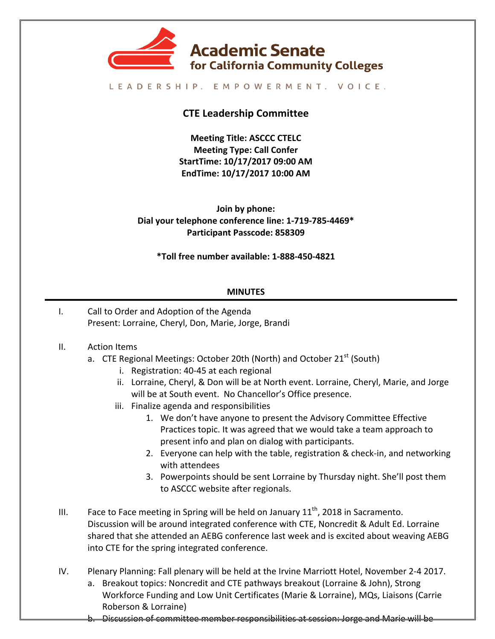

#### LEADERSHIP. EMPOWERMENT. VOICE.

# **CTE Leadership Committee**

**Meeting Title: ASCCC CTELC Meeting Type: Call Confer StartTime: 10/17/2017 09:00 AM EndTime: 10/17/2017 10:00 AM**

**Join by phone:** Dial your telephone conference line: 1-719-785-4469\* **Participant Passcode: 858309**

**\*Toll free number available: 1-888-450-4821**

### **MINUTES**

I. Call to Order and Adoption of the Agenda Present: Lorraine, Cheryl, Don, Marie, Jorge, Brandi

### II. Action Items

- a. CTE Regional Meetings: October 20th (North) and October 21<sup>st</sup> (South)
	- i. Registration: 40-45 at each regional
	- ii. Lorraine, Cheryl, & Don will be at North event. Lorraine, Cheryl, Marie, and Jorge will be at South event. No Chancellor's Office presence.
	- iii. Finalize agenda and responsibilities
		- 1. We don't have anyone to present the Advisory Committee Effective Practices topic. It was agreed that we would take a team approach to present info and plan on dialog with participants.
		- 2. Everyone can help with the table, registration & check-in, and networking with attendees
		- 3. Powerpoints should be sent Lorraine by Thursday night. She'll post them to ASCCC website after regionals.
- III. Face to Face meeting in Spring will be held on January  $11^{th}$ , 2018 in Sacramento. Discussion will be around integrated conference with CTE, Noncredit & Adult Ed. Lorraine shared that she attended an AEBG conference last week and is excited about weaving AEBG into CTE for the spring integrated conference.
- IV. Plenary Planning: Fall plenary will be held at the Irvine Marriott Hotel, November 2-4 2017.
	- a. Breakout topics: Noncredit and CTE pathways breakout (Lorraine & John), Strong Workforce Funding and Low Unit Certificates (Marie & Lorraine), MQs, Liaisons (Carrie Roberson & Lorraine)
	- b. Discussion of committee member responsibilities at session: Jorge and Marie will be